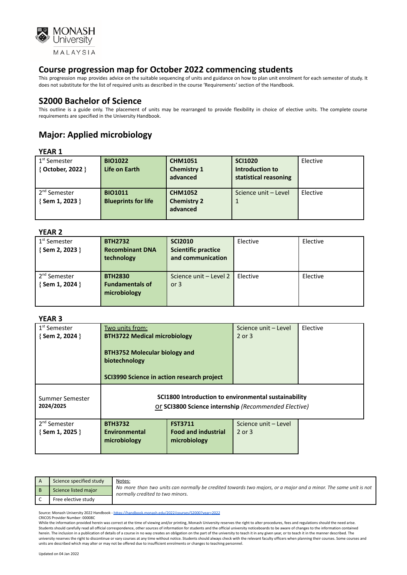

This progression map provides advice on the suitable sequencing of units and guidance on how to plan unit enrolment for each semester of study. It does not substitute for the list of required units as described in the course 'Requirements' section of the Handbook.

### **S2000 Bachelor of Science**

This outline is a guide only. The placement of units may be rearranged to provide flexibility in choice of elective units. The complete course requirements are specified in the University Handbook.

# **Major: Applied microbiology**

### **YEAR 1**

| 1 <sup>st</sup> Semester<br>{ October, 2022 } | <b>BIO1022</b><br>Life on Earth              | <b>CHM1051</b><br><b>Chemistry 1</b><br>advanced | <b>SCI1020</b><br>Introduction to<br>statistical reasoning | Elective |
|-----------------------------------------------|----------------------------------------------|--------------------------------------------------|------------------------------------------------------------|----------|
| 2 <sup>nd</sup> Semester<br>{Sem 1, 2023 }    | <b>BIO1011</b><br><b>Blueprints for life</b> | <b>CHM1052</b><br><b>Chemistry 2</b><br>advanced | Science unit - Level                                       | Elective |

#### **YEAR 2**

| . LAR 4                    |                        |                            |          |          |
|----------------------------|------------------------|----------------------------|----------|----------|
| 1 <sup>st</sup> Semester   | <b>BTH2732</b>         | <b>SCI2010</b>             | Elective | Elective |
| {Sem 2, 2023 }             | <b>Recombinant DNA</b> | <b>Scientific practice</b> |          |          |
|                            | technology             | and communication          |          |          |
|                            |                        |                            |          |          |
| . 2 <sup>nd</sup> Semester | <b>BTH2830</b>         | Science unit - Level 2     | Elective | Elective |
| {Sem 1, 2024 }             | <b>Fundamentals of</b> | or $3$                     |          |          |
|                            | microbiology           |                            |          |          |
|                            |                        |                            |          |          |
|                            |                        |                            |          |          |

### **YEAR 3**

| 1 <sup>st</sup> Semester     | Two units from:                                                                                              |                            | Science unit - Level | Elective |
|------------------------------|--------------------------------------------------------------------------------------------------------------|----------------------------|----------------------|----------|
| $\{$ Sem 2, 2024 $\}$        | <b>BTH3722 Medical microbiology</b>                                                                          |                            | 2 or 3               |          |
|                              | <b>BTH3752 Molecular biology and</b><br>biotechnology<br><b>SCI3990 Science in action research project</b>   |                            |                      |          |
| Summer Semester<br>2024/2025 | SCI1800 Introduction to environmental sustainability<br>Or SCI3800 Science internship (Recommended Elective) |                            |                      |          |
| 2 <sup>nd</sup> Semester     | <b>BTH3732</b>                                                                                               | <b>FST3711</b>             | Science unit - Level |          |
| $\{$ Sem 1, 2025 $\}$        | <b>Environmental</b>                                                                                         | <b>Food and industrial</b> | 2 or 3               |          |
|                              | microbiology                                                                                                 | microbiology               |                      |          |
|                              |                                                                                                              |                            |                      |          |

| Science specified study | Notes:<br>No more than two units can normally be credited towards two majors, or a major and a minor. The same unit is not<br>normally credited to two minors. |
|-------------------------|----------------------------------------------------------------------------------------------------------------------------------------------------------------|
| Science listed major    |                                                                                                                                                                |
| Free elective study     |                                                                                                                                                                |

Source: Monash University 2022 Handbook - <https://handbook.monash.edu/2022/courses/S2000?year=2022>

CRICOS Provider Number: 00008C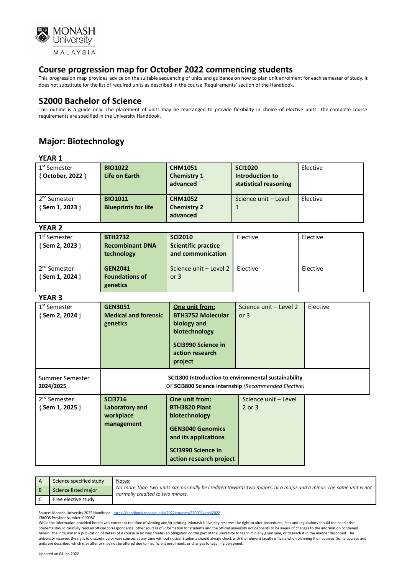

This progression map provides advice on the suitable sequencing of units and guidance on how to plan unit enrolment for each semester of study. It does not substitute for the list of required units as described in the course 'Requirements' section of the Handbook.

### **S2000 Bachelor of Science**

This outline is a guide only. The placement of units may be rearranged to provide flexibility in choice of elective units. The complete course requirements are specified in the University Handbook.

## **Major: Biotechnology**

### **YEAR 1**

| 1 <sup>st</sup> Semester<br>{ October, 2022 } | <b>BIO1022</b><br>Life on Earth              | <b>CHM1051</b><br><b>Chemistry 1</b><br>advanced | <b>SCI1020</b><br>Introduction to<br>statistical reasoning | Elective |
|-----------------------------------------------|----------------------------------------------|--------------------------------------------------|------------------------------------------------------------|----------|
| 2 <sup>nd</sup> Semester<br>{Sem 1, 2023 }    | <b>BIO1011</b><br><b>Blueprints for life</b> | <b>CHM1052</b><br><b>Chemistry 2</b><br>advanced | Science unit - Level                                       | Elective |

### **YEAR 2**

| <b>BTH2732</b>         | <b>SCI2010</b>             | Elective | Elective               |
|------------------------|----------------------------|----------|------------------------|
| <b>Recombinant DNA</b> | <b>Scientific practice</b> |          |                        |
| technology             | and communication          |          |                        |
|                        |                            |          |                        |
| <b>GEN2041</b>         |                            | Elective | Elective               |
| <b>Foundations of</b>  | or $3$                     |          |                        |
| genetics               |                            |          |                        |
|                        |                            |          | Science unit - Level 2 |

#### **YEAR 3**

| 1 <sup>st</sup> Semester<br>{Sem 2, 2024 } | <b>GEN3051</b><br><b>Medical and forensic</b><br>genetics   | One unit from:<br><b>BTH3752 Molecular</b><br>biology and<br>biotechnology<br>SCI3990 Science in<br>action research<br>project                              | Science unit - Level 2<br>or $3$   | Elective |
|--------------------------------------------|-------------------------------------------------------------|-------------------------------------------------------------------------------------------------------------------------------------------------------------|------------------------------------|----------|
| Summer Semester<br>2024/2025               |                                                             | SCI1800 Introduction to environmental sustainability<br>Or SCI3800 Science internship (Recommended Elective)                                                |                                    |          |
| 2 <sup>nd</sup> Semester<br>{Sem 1, 2025 } | <b>SCI3716</b><br>Laboratory and<br>workplace<br>management | One unit from:<br><b>BTH3820 Plant</b><br>biotechnology<br><b>GEN3040 Genomics</b><br>and its applications<br>SCI3990 Science in<br>action research project | Science unit - Level<br>$2$ or $3$ |          |

| Science specified study | Notes:<br>No more than two units can normally be credited towards two majors, or a major and a minor. The same unit is not<br>normally credited to two minors. |
|-------------------------|----------------------------------------------------------------------------------------------------------------------------------------------------------------|
| Science listed major    |                                                                                                                                                                |
| Free elective study     |                                                                                                                                                                |

Source: Monash University 2022 Handbook - <https://handbook.monash.edu/2022/courses/S2000?year=2022>

CRICOS Provider Number: 00008C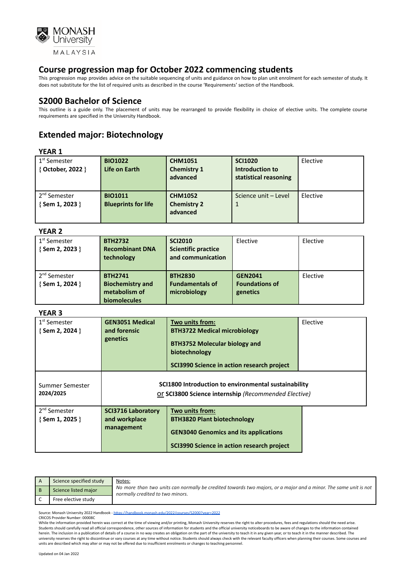

This progression map provides advice on the suitable sequencing of units and guidance on how to plan unit enrolment for each semester of study. It does not substitute for the list of required units as described in the course 'Requirements' section of the Handbook.

### **S2000 Bachelor of Science**

This outline is a guide only. The placement of units may be rearranged to provide flexibility in choice of elective units. The complete course requirements are specified in the University Handbook.

## **Extended major: Biotechnology**

#### **YEAR 1**

| 1 <sup>st</sup> Semester<br>{ October, 2022 } | <b>BIO1022</b><br>Life on Earth              | <b>CHM1051</b><br><b>Chemistry 1</b><br>advanced | <b>SCI1020</b><br>Introduction to<br>statistical reasoning | Elective |
|-----------------------------------------------|----------------------------------------------|--------------------------------------------------|------------------------------------------------------------|----------|
| 2 <sup>nd</sup> Semester<br>{Sem 1, 2023 }    | <b>BIO1011</b><br><b>Blueprints for life</b> | <b>CHM1052</b><br><b>Chemistry 2</b><br>advanced | Science unit - Level                                       | Elective |

### **YEAR 2**

| I LAI\ 4                                          |                                                                                   |                                                                   |                                                     |          |
|---------------------------------------------------|-----------------------------------------------------------------------------------|-------------------------------------------------------------------|-----------------------------------------------------|----------|
| 1 <sup>st</sup> Semester<br>{Sem 2, 2023 }        | <b>BTH2732</b><br><b>Recombinant DNA</b><br>technology                            | <b>SCI2010</b><br><b>Scientific practice</b><br>and communication | Elective                                            | Elective |
| 2 <sup>nd</sup> Semester<br>$\{$ Sem 1, 2024 $\}$ | <b>BTH2741</b><br><b>Biochemistry and</b><br>metabolism of<br><b>biomolecules</b> | <b>BTH2830</b><br><b>Fundamentals of</b><br>microbiology          | <b>GEN2041</b><br><b>Foundations of</b><br>genetics | Elective |

### **YEAR 3**

| 1 <sup>st</sup> Semester<br>{ Sem 2, 2024 } | <b>GEN3051 Medical</b><br>and forensic<br>genetics                                                                                                                                                              | Two units from:<br><b>BTH3722 Medical microbiology</b><br><b>BTH3752 Molecular biology and</b><br>biotechnology<br>SCI3990 Science in action research project | Elective |
|---------------------------------------------|-----------------------------------------------------------------------------------------------------------------------------------------------------------------------------------------------------------------|---------------------------------------------------------------------------------------------------------------------------------------------------------------|----------|
| Summer Semester<br>2024/2025                | SCI1800 Introduction to environmental sustainability<br>Or SCI3800 Science internship (Recommended Elective)                                                                                                    |                                                                                                                                                               |          |
| 2 <sup>nd</sup> Semester<br>{ Sem 1, 2025 } | Two units from:<br><b>SCI3716 Laboratory</b><br>and workplace<br><b>BTH3820 Plant biotechnology</b><br>management<br><b>GEN3040 Genomics and its applications</b><br>SCI3990 Science in action research project |                                                                                                                                                               |          |

| Science specified study | Notes:<br>No more than two units can normally be credited towards two majors, or a major and a minor. The same unit is not<br>normally credited to two minors. |
|-------------------------|----------------------------------------------------------------------------------------------------------------------------------------------------------------|
| Science listed major    |                                                                                                                                                                |
| Free elective study     |                                                                                                                                                                |

Source: Monash University 2022 Handbook - <https://handbook.monash.edu/2022/courses/S2000?year=2022>

CRICOS Provider Number: 00008C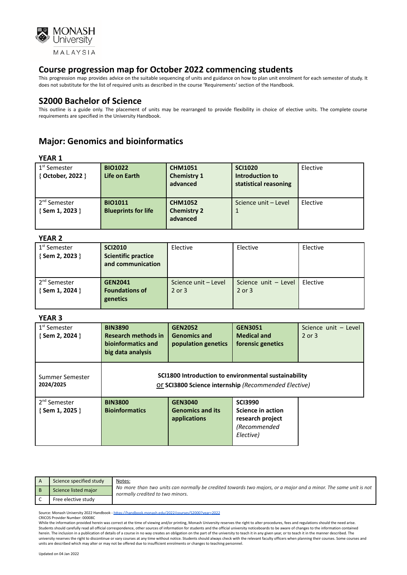

This progression map provides advice on the suitable sequencing of units and guidance on how to plan unit enrolment for each semester of study. It does not substitute for the list of required units as described in the course 'Requirements' section of the Handbook.

### **S2000 Bachelor of Science**

This outline is a guide only. The placement of units may be rearranged to provide flexibility in choice of elective units. The complete course requirements are specified in the University Handbook.

## **Major: Genomics and bioinformatics**

### **YEAR 1**

| 1 <sup>st</sup> Semester<br>{ October, 2022 } | <b>BIO1022</b><br>Life on Earth              | <b>CHM1051</b><br><b>Chemistry 1</b><br>advanced | <b>SCI1020</b><br>Introduction to<br>statistical reasoning | Elective |
|-----------------------------------------------|----------------------------------------------|--------------------------------------------------|------------------------------------------------------------|----------|
| 2 <sup>nd</sup> Semester<br>{Sem 1, 2023 }    | <b>BIO1011</b><br><b>Blueprints for life</b> | <b>CHM1052</b><br><b>Chemistry 2</b><br>advanced | Science unit - Level                                       | Elective |

#### **YEAR 2**

| 1 <sup>st</sup> Semester   | <b>SCI2010</b>             | Elective             | Elective             | Elective |
|----------------------------|----------------------------|----------------------|----------------------|----------|
| $\{$ Sem 2, 2023 $\}$      | <b>Scientific practice</b> |                      |                      |          |
|                            | and communication          |                      |                      |          |
|                            |                            |                      |                      |          |
| . 2 <sup>nd</sup> Semester | <b>GEN2041</b>             | Science unit - Level | Science unit - Level | Elective |
| $\{$ Sem 1, 2024 $\}$      | <b>Foundations of</b>      | 2 or 3               | 2 or 3               |          |
|                            | genetics                   |                      |                      |          |
|                            |                            |                      |                      |          |

### **YEAR 3**

| 1 <sup>st</sup> Semester<br>{Sem 2, 2024 } | <b>BIN3890</b><br><b>Research methods in</b><br>bioinformatics and<br>big data analysis | <b>GEN2052</b><br><b>Genomics and</b><br>population genetics | <b>GEN3051</b><br><b>Medical and</b><br>forensic genetics                                                    | Science unit - Level<br>$2$ or $3$ |
|--------------------------------------------|-----------------------------------------------------------------------------------------|--------------------------------------------------------------|--------------------------------------------------------------------------------------------------------------|------------------------------------|
| Summer Semester<br>2024/2025               |                                                                                         |                                                              | SCI1800 Introduction to environmental sustainability<br>Or SCI3800 Science internship (Recommended Elective) |                                    |
| 2 <sup>nd</sup> Semester<br>{Sem 1, 2025 } | <b>BIN3800</b><br><b>Bioinformatics</b>                                                 | <b>GEN3040</b><br><b>Genomics and its</b><br>applications    | <b>SCI3990</b><br>Science in action<br>research project<br>(Recommended<br>Elective)                         |                                    |

| Science specified study | Notes:<br>No more than two units can normally be credited towards two majors, or a major and a minor. The same unit is not<br>normally credited to two minors. |
|-------------------------|----------------------------------------------------------------------------------------------------------------------------------------------------------------|
| Science listed major    |                                                                                                                                                                |
| Free elective study     |                                                                                                                                                                |

Source: Monash University 2022 Handbook - <https://handbook.monash.edu/2022/courses/S2000?year=2022> CRICOS Provider Number: 00008C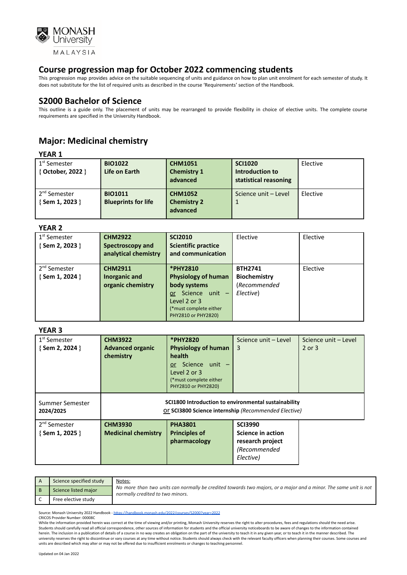

This progression map provides advice on the suitable sequencing of units and guidance on how to plan unit enrolment for each semester of study. It does not substitute for the list of required units as described in the course 'Requirements' section of the Handbook.

### **S2000 Bachelor of Science**

This outline is a guide only. The placement of units may be rearranged to provide flexibility in choice of elective units. The complete course requirements are specified in the University Handbook.

# **Major: Medicinal chemistry**

**YEAR 1**

| 1 <sup>st</sup> Semester<br>{ October, 2022 } | <b>BIO1022</b><br>Life on Earth              | <b>CHM1051</b><br><b>Chemistry 1</b><br>advanced | <b>SCI1020</b><br>Introduction to<br>statistical reasoning | Elective |
|-----------------------------------------------|----------------------------------------------|--------------------------------------------------|------------------------------------------------------------|----------|
| 2 <sup>nd</sup> Semester<br>{Sem 1, 2023 }    | <b>BIO1011</b><br><b>Blueprints for life</b> | <b>CHM1052</b><br><b>Chemistry 2</b><br>advanced | Science unit - Level                                       | Elective |

**YEAR 2**

| .                        |                      |                            |                      |          |
|--------------------------|----------------------|----------------------------|----------------------|----------|
| 1 <sup>st</sup> Semester | <b>CHM2922</b>       | <b>SCI2010</b>             | Elective             | Elective |
| $\{$ Sem 2, 2023 $\}$    | Spectroscopy and     | <b>Scientific practice</b> |                      |          |
|                          | analytical chemistry | and communication          |                      |          |
|                          |                      |                            |                      |          |
| 2 <sup>nd</sup> Semester | <b>CHM2911</b>       | *PHY2810                   | <b>BTH2741</b>       | Elective |
| $\{$ Sem 1, 2024 $\}$    | Inorganic and        | <b>Physiology of human</b> | Biochemistry         |          |
|                          | organic chemistry    | body systems               | <i>(Recommended)</i> |          |
|                          |                      | Science unit -<br>or.      | Elective)            |          |
|                          |                      | Level 2 or 3               |                      |          |
|                          |                      | (*must complete either     |                      |          |
|                          |                      | PHY2810 or PHY2820)        |                      |          |

#### **YEAR 3**

| 1 <sup>st</sup> Semester<br>$\{$ Sem 2, 2024 $\}$ | <b>CHM3922</b><br><b>Advanced organic</b><br>chemistry                                                       | *PHY2820<br><b>Physiology of human</b><br>health<br>or Science unit -<br>Level 2 or 3<br>(*must complete either<br>PHY2810 or PHY2820) | Science unit - Level<br>3                                                            | Science unit - Level<br>2 or 3 |
|---------------------------------------------------|--------------------------------------------------------------------------------------------------------------|----------------------------------------------------------------------------------------------------------------------------------------|--------------------------------------------------------------------------------------|--------------------------------|
| Summer Semester<br>2024/2025                      | SCI1800 Introduction to environmental sustainability<br>Or SCI3800 Science internship (Recommended Elective) |                                                                                                                                        |                                                                                      |                                |
| 2 <sup>nd</sup> Semester<br>{Sem 1, 2025 }        | <b>CHM3930</b><br><b>Medicinal chemistry</b>                                                                 | <b>PHA3801</b><br><b>Principles of</b><br>pharmacology                                                                                 | <b>SCI3990</b><br>Science in action<br>research project<br>(Recommended<br>Elective) |                                |

| Science specified study | Notes:<br>No more than two units can normally be credited towards two majors, or a major and a minor. The same unit is not<br>normally credited to two minors. |
|-------------------------|----------------------------------------------------------------------------------------------------------------------------------------------------------------|
| Science listed major    |                                                                                                                                                                |
| Free elective study     |                                                                                                                                                                |

Source: Monash University 2022 Handbook - <https://handbook.monash.edu/2022/courses/S2000?year=2022>

CRICOS Provider Number: 00008C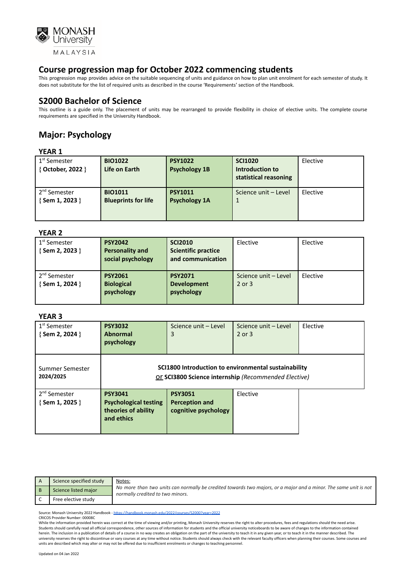

This progression map provides advice on the suitable sequencing of units and guidance on how to plan unit enrolment for each semester of study. It does not substitute for the list of required units as described in the course 'Requirements' section of the Handbook.

### **S2000 Bachelor of Science**

This outline is a guide only. The placement of units may be rearranged to provide flexibility in choice of elective units. The complete course requirements are specified in the University Handbook.

# **Major: Psychology**

### **YEAR 1**

| 1 <sup>st</sup> Semester<br>{ October, 2022 } | <b>BIO1022</b><br>Life on Earth              | <b>PSY1022</b><br><b>Psychology 1B</b> | <b>SCI1020</b><br>Introduction to<br>statistical reasoning | Elective |
|-----------------------------------------------|----------------------------------------------|----------------------------------------|------------------------------------------------------------|----------|
| 2 <sup>nd</sup> Semester<br>{Sem 1, 2023 }    | <b>BIO1011</b><br><b>Blueprints for life</b> | <b>PSY1011</b><br><b>Psychology 1A</b> | Science unit - Level                                       | Elective |

### **YEAR 2**

| .                                           |                                                               |                                                                   |                                |          |
|---------------------------------------------|---------------------------------------------------------------|-------------------------------------------------------------------|--------------------------------|----------|
| 1 <sup>st</sup> Semester<br>{ Sem 2, 2023 } | <b>PSY2042</b><br><b>Personality and</b><br>social psychology | <b>SCI2010</b><br><b>Scientific practice</b><br>and communication | Elective                       | Elective |
| 2 <sup>nd</sup> Semester<br>{ Sem 1, 2024 } | <b>PSY2061</b><br><b>Biological</b><br>psychology             | <b>PSY2071</b><br><b>Development</b><br>psychology                | Science unit - Level<br>2 or 3 | Elective |

### **YEAR 3**

| 1 <sup>st</sup> Semester<br>{Sem 2, 2024 } | <b>PSY3032</b><br><b>Abnormal</b><br>psychology                                                              | Science unit - Level<br>3                                | Science unit - Level<br>$2$ or $3$ | Elective |
|--------------------------------------------|--------------------------------------------------------------------------------------------------------------|----------------------------------------------------------|------------------------------------|----------|
| Summer Semester<br>2024/2025               | SCI1800 Introduction to environmental sustainability<br>Or SCI3800 Science internship (Recommended Elective) |                                                          |                                    |          |
| 2 <sup>nd</sup> Semester<br>{Sem 1, 2025 } | <b>PSY3041</b><br><b>Psychological testing</b><br>theories of ability<br>and ethics                          | <b>PSY3051</b><br>Perception and<br>cognitive psychology | Elective                           |          |

| Science specified study | Notes:<br>No more than two units can normally be credited towards two majors, or a major and a minor. The same unit is not<br>normally credited to two minors. |
|-------------------------|----------------------------------------------------------------------------------------------------------------------------------------------------------------|
| Science listed major    |                                                                                                                                                                |
| Free elective study     |                                                                                                                                                                |

Source: Monash University 2022 Handbook - <https://handbook.monash.edu/2022/courses/S2000?year=2022> CRICOS Provider Number: 00008C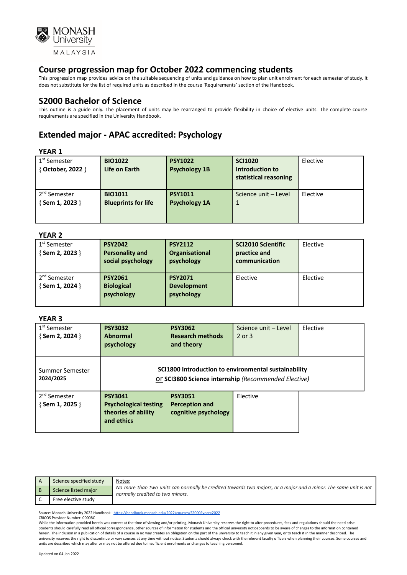

This progression map provides advice on the suitable sequencing of units and guidance on how to plan unit enrolment for each semester of study. It does not substitute for the list of required units as described in the course 'Requirements' section of the Handbook.

### **S2000 Bachelor of Science**

This outline is a guide only. The placement of units may be rearranged to provide flexibility in choice of elective units. The complete course requirements are specified in the University Handbook.

## **Extended major - APAC accredited: Psychology**

#### **YEAR 1**

| 1 <sup>st</sup> Semester<br>{ October, 2022 } | <b>BIO1022</b><br>Life on Earth              | <b>PSY1022</b><br><b>Psychology 1B</b> | <b>SCI1020</b><br>Introduction to<br>statistical reasoning | Elective |
|-----------------------------------------------|----------------------------------------------|----------------------------------------|------------------------------------------------------------|----------|
| 2 <sup>nd</sup> Semester<br>{ Sem 1, 2023 }   | <b>BIO1011</b><br><b>Blueprints for life</b> | <b>PSY1011</b><br><b>Psychology 1A</b> | Science unit - Level                                       | Elective |

#### **YEAR 2**

| .                                           |                                                               |                                                    |                                                            |          |
|---------------------------------------------|---------------------------------------------------------------|----------------------------------------------------|------------------------------------------------------------|----------|
| 1 <sup>st</sup> Semester<br>{Sem 2, 2023 }  | <b>PSY2042</b><br><b>Personality and</b><br>social psychology | <b>PSY2112</b><br>Organisational<br>psychology     | <b>SCI2010 Scientific</b><br>practice and<br>communication | Elective |
| 2 <sup>nd</sup> Semester<br>{ Sem 1, 2024 } | <b>PSY2061</b><br><b>Biological</b><br>psychology             | <b>PSY2071</b><br><b>Development</b><br>psychology | Elective                                                   | Elective |

#### **YEAR 3**

| 1 <sup>st</sup> Semester<br>{Sem 2, 2024 }        | <b>PSY3032</b><br><b>Abnormal</b><br>psychology                                     | <b>PSY3062</b><br><b>Research methods</b><br>and theory                                                      | Science unit - Level<br>$2$ or $3$ | Elective |
|---------------------------------------------------|-------------------------------------------------------------------------------------|--------------------------------------------------------------------------------------------------------------|------------------------------------|----------|
| Summer Semester<br>2024/2025                      |                                                                                     | SCI1800 Introduction to environmental sustainability<br>Or SCI3800 Science internship (Recommended Elective) |                                    |          |
| 2 <sup>nd</sup> Semester<br>$\{$ Sem 1, 2025 $\}$ | <b>PSY3041</b><br><b>Psychological testing</b><br>theories of ability<br>and ethics | <b>PSY3051</b><br><b>Perception and</b><br>cognitive psychology                                              | Elective                           |          |

| Science specified study | Notes:<br>No more than two units can normally be credited towards two majors, or a major and a minor. The same unit is not<br>normally credited to two minors. |
|-------------------------|----------------------------------------------------------------------------------------------------------------------------------------------------------------|
| Science listed major    |                                                                                                                                                                |
| Free elective study     |                                                                                                                                                                |

Source: Monash University 2022 Handbook - <https://handbook.monash.edu/2022/courses/S2000?year=2022> CRICOS Provider Number: 00008C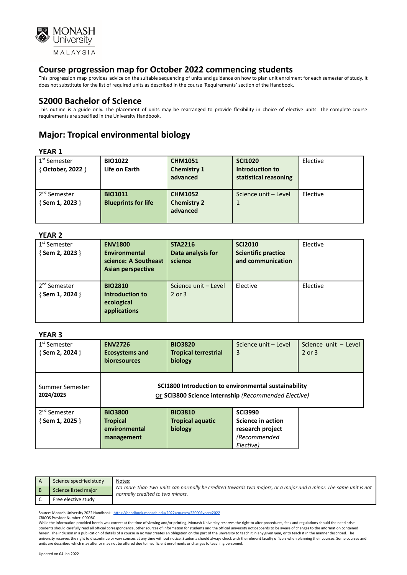

This progression map provides advice on the suitable sequencing of units and guidance on how to plan unit enrolment for each semester of study. It does not substitute for the list of required units as described in the course 'Requirements' section of the Handbook.

### **S2000 Bachelor of Science**

This outline is a guide only. The placement of units may be rearranged to provide flexibility in choice of elective units. The complete course requirements are specified in the University Handbook.

# **Major: Tropical environmental biology**

### **YEAR 1**

| 1 <sup>st</sup> Semester<br>{ October, 2022 } | <b>BIO1022</b><br>Life on Earth              | <b>CHM1051</b><br><b>Chemistry 1</b><br>advanced | <b>SCI1020</b><br>Introduction to<br>statistical reasoning | Elective |
|-----------------------------------------------|----------------------------------------------|--------------------------------------------------|------------------------------------------------------------|----------|
| 2 <sup>nd</sup> Semester<br>{ Sem 1, 2023 }   | <b>BIO1011</b><br><b>Blueprints for life</b> | <b>CHM1052</b><br><b>Chemistry 2</b><br>advanced | Science unit - Level                                       | Elective |

### **YEAR 2**

| 1 <sup>st</sup> Semester<br>{Sem 2, 2023 } | <b>ENV1800</b><br>Environmental<br>science: A Southeast<br><b>Asian perspective</b> | <b>STA2216</b><br>Data analysis for<br>science | <b>SCI2010</b><br><b>Scientific practice</b><br>and communication | Elective |
|--------------------------------------------|-------------------------------------------------------------------------------------|------------------------------------------------|-------------------------------------------------------------------|----------|
| 2 <sup>nd</sup> Semester<br>{Sem 1, 2024 } | <b>BIO2810</b><br>Introduction to<br>ecological<br>applications                     | Science unit - Level<br>2 or 3                 | Elective                                                          | Elective |

### **YEAR 3**

| 1 <sup>st</sup> Semester<br>{Sem 2, 2024 } | <b>ENV2726</b><br><b>Ecosystems and</b><br><b>bioresources</b>                                               | <b>BIO3820</b><br><b>Tropical terrestrial</b><br>biology | Science unit - Level<br>3 | Science unit - Level<br>$2$ or $3$ |
|--------------------------------------------|--------------------------------------------------------------------------------------------------------------|----------------------------------------------------------|---------------------------|------------------------------------|
| Summer Semester<br>2024/2025               | SCI1800 Introduction to environmental sustainability<br>Or SCI3800 Science internship (Recommended Elective) |                                                          |                           |                                    |
| 2 <sup>nd</sup> Semester                   | <b>BIO3800</b>                                                                                               | <b>BIO3810</b>                                           | <b>SCI3990</b>            |                                    |
| {Sem 1, 2025 }                             | <b>Tropical</b>                                                                                              | <b>Tropical aquatic</b>                                  | <b>Science in action</b>  |                                    |
|                                            | environmental                                                                                                | biology                                                  | research project          |                                    |
|                                            | management                                                                                                   |                                                          | (Recommended              |                                    |
|                                            |                                                                                                              |                                                          | Elective)                 |                                    |

| Science specified study | Notes:<br>No more than two units can normally be credited towards two majors, or a major and a minor. The same unit is not<br>normally credited to two minors. |
|-------------------------|----------------------------------------------------------------------------------------------------------------------------------------------------------------|
| Science listed major    |                                                                                                                                                                |
| Free elective study     |                                                                                                                                                                |

Source: Monash University 2022 Handbook - <https://handbook.monash.edu/2022/courses/S2000?year=2022>

CRICOS Provider Number: 00008C